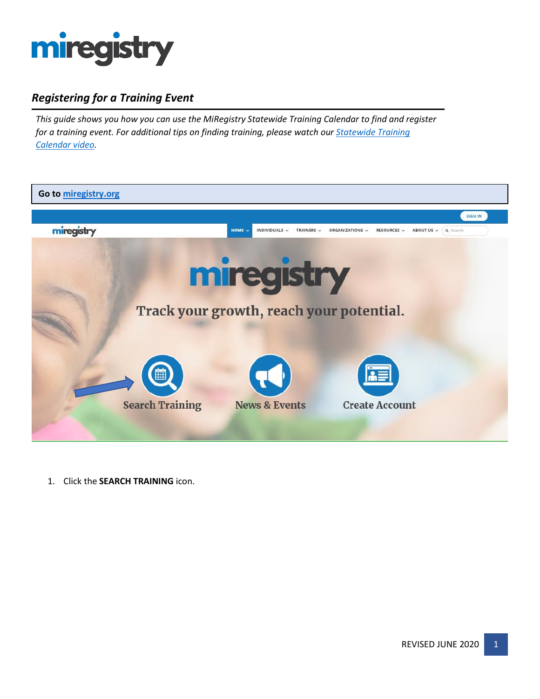

# *Registering for a Training Event*

*This guide shows you how you can use the MiRegistry Statewide Training Calendar to find and register for a training event. For additional tips on finding training, please watch our [Statewide Training](https://youtu.be/eTzKDz0bebk)  [Calendar video.](https://youtu.be/eTzKDz0bebk)*



1. Click the **SEARCH TRAINING** icon.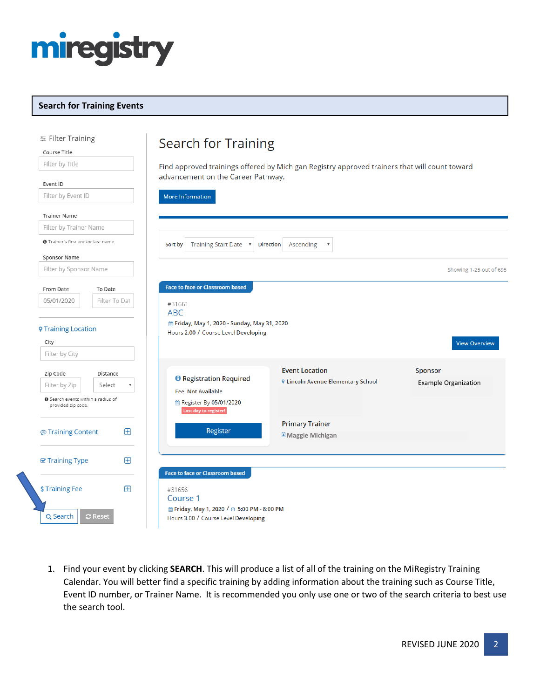

#### **Search for Training Events**

| Filter Training<br>Course Title                                        |                    | Search for Training                                                                   |                                                                                               |                                               |
|------------------------------------------------------------------------|--------------------|---------------------------------------------------------------------------------------|-----------------------------------------------------------------------------------------------|-----------------------------------------------|
| Filter by Title<br>Event ID                                            |                    | advancement on the Career Pathway.                                                    | Find approved trainings offered by Michigan Registry approved trainers that will count toward |                                               |
| Filter by Event ID                                                     |                    | More Information                                                                      |                                                                                               |                                               |
| <b>Trainer Name</b>                                                    |                    |                                                                                       |                                                                                               |                                               |
| Filter by Trainer Name                                                 |                    |                                                                                       |                                                                                               |                                               |
| <b>O</b> Trainer's first and/or last name                              |                    | Training Start Date v<br>Sort by                                                      | <b>Direction</b><br>Ascending                                                                 |                                               |
| Sponsor Name                                                           |                    |                                                                                       |                                                                                               |                                               |
| Filter by Sponsor Name                                                 |                    |                                                                                       |                                                                                               | Showing 1-25 out of 695                       |
| From Date                                                              | To Date            | <b>Face to face or Classroom based</b>                                                |                                                                                               |                                               |
| 05/01/2020                                                             | Filter To Dat      | #31661<br><b>ABC</b>                                                                  |                                                                                               |                                               |
| <b>9 Training Location</b><br>City                                     |                    | fi Friday, May 1, 2020 - Sunday, May 31, 2020<br>Hours 2.00 / Course Level Developing |                                                                                               | <b>View Overview</b>                          |
| Filter by City                                                         |                    |                                                                                       |                                                                                               |                                               |
| Zip Code<br>Filter by Zip<br><b>O</b> Search events within a radius of | Distance<br>Select | <b>O</b> Registration Required<br>Fee Not Available                                   | <b>Event Location</b><br><b>9 Lincoln Avenue Elementary School</b>                            | <b>Sponsor</b><br><b>Example Organization</b> |
| provided zip code.                                                     |                    | <b>■ Register By 05/01/2020</b><br>Last day to register!                              |                                                                                               |                                               |
| <b><i>S</i></b> Training Content                                       | ⊕                  | Register                                                                              | <b>Primary Trainer</b><br>Maggie Michigan                                                     |                                               |
| <b>☑ Training Type</b>                                                 | ⊞                  |                                                                                       |                                                                                               |                                               |
| \$Training Fee                                                         | Æ                  | Face to face or Classroom based<br>#31656<br>Course 1                                 |                                                                                               |                                               |
| Q Search                                                               | <b>C</b> Reset     | pm Friday, May 1, 2020 / ⊙ 5:00 PM - 8:00 PM<br>Hours 3.00 / Course Level Developing  |                                                                                               |                                               |

1. Find your event by clicking **SEARCH**. This will produce a list of all of the training on the MiRegistry Training Calendar. You will better find a specific training by adding information about the training such as Course Title, Event ID number, or Trainer Name. It is recommended you only use one or two of the search criteria to best use the search tool.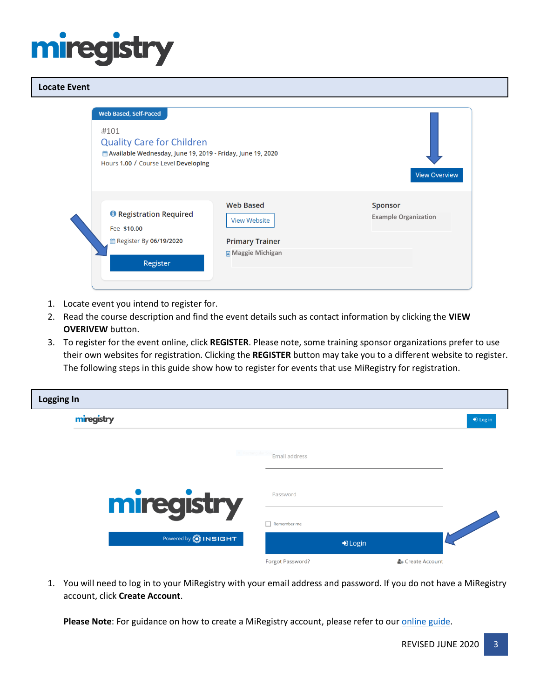# mired

#### **Locate Event**



- 1. Locate event you intend to register for.
- 2. Read the course description and find the event details such as contact information by clicking the **VIEW OVERIVEW** button.
- 3. To register for the event online, click **REGISTER**. Please note, some training sponsor organizations prefer to use their own websites for registration. Clicking the **REGISTER** button may take you to a different website to register. The following steps in this guide show how to register for events that use MiRegistry for registration.

| <b>Logging In</b> |                               |                  |                  |          |
|-------------------|-------------------------------|------------------|------------------|----------|
|                   | miregistry                    |                  |                  | D Log in |
|                   | <sup>a</sup> Rectangular Sr   | Email address    |                  |          |
|                   | miregistry                    | Password         |                  |          |
|                   | Powered by <b>(B) INSIGHT</b> | Remember me      | D Login          |          |
|                   |                               | Forgot Password? | & Create Account |          |

1. You will need to log in to your MiRegistry with your email address and password. If you do not have a MiRegistry account, click **Create Account**.

Please Note: For guidance on how to create a MiRegistry account, please refer to our *online guide*.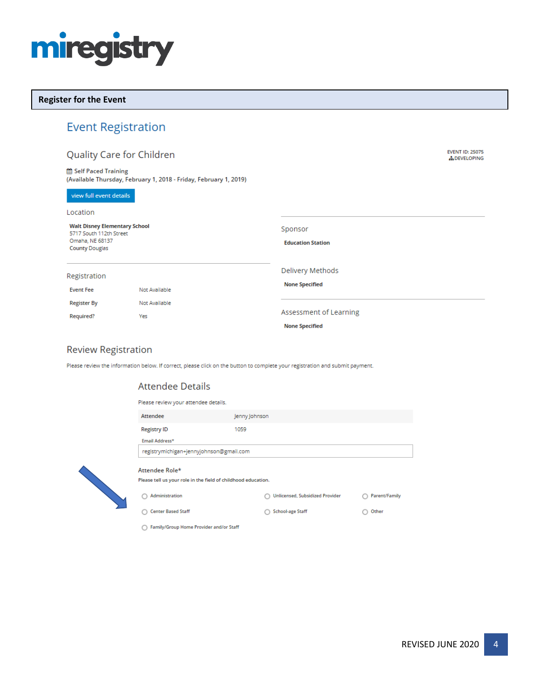

#### **Register for the Event**

## **Event Registration**

### Quality Care for Children

Self Paced Training (Available Thursday, February 1, 2018 - Friday, February 1, 2019)

#### view full event details

| Location                                                                                                    |               |                                     |
|-------------------------------------------------------------------------------------------------------------|---------------|-------------------------------------|
| <b>Walt Disney Elementary School</b><br>5717 South 112th Street<br>Omaha, NE 68137<br><b>County Douglas</b> |               | Sponsor<br><b>Education Station</b> |
| Registration                                                                                                |               | Delivery Methods                    |
| <b>Event Fee</b>                                                                                            | Not Available | <b>None Specified</b>               |
| <b>Register By</b>                                                                                          | Not Available |                                     |
| Required?                                                                                                   | Yes           | Assessment of Learning              |
|                                                                                                             |               | <b>None Specified</b>               |

#### **Review Registration**

Please review the information below. If correct, please click on the button to complete your registration and submit payment.

#### **Attendee Details**

| Please review your attendee details.                                            |                                 |               |
|---------------------------------------------------------------------------------|---------------------------------|---------------|
| Attendee                                                                        | Jenny Johnson                   |               |
| <b>Registry ID</b>                                                              | 1059                            |               |
| Email Address*                                                                  |                                 |               |
| registrymichigan+jennyjohnson@gmail.com                                         |                                 |               |
| Attendee Role*<br>Please tell us your role in the field of childhood education. |                                 |               |
| Administration                                                                  | Unlicensed, Subsidized Provider | Parent/Family |
| <b>Center Based Staff</b>                                                       | <b>School-age Staff</b>         | Other         |

◯ Family/Group Home Provider and/or Staff

**EVENT ID: 25075** 

**ADEVELOPING**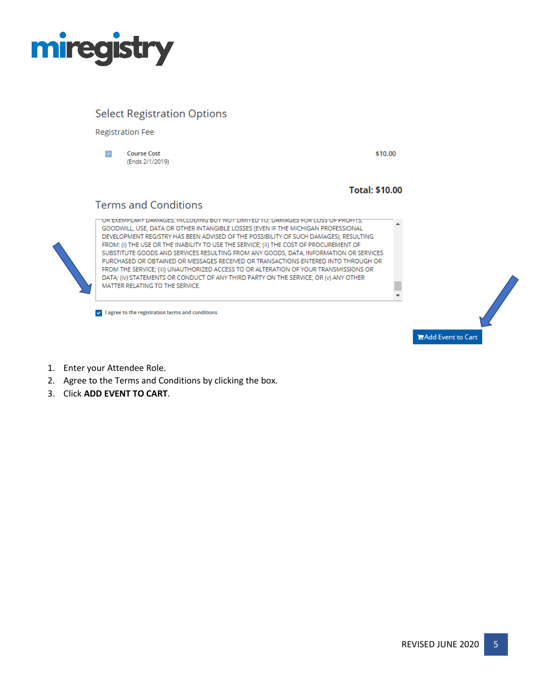

# **Select Registration Options**

**Registration Fee** 

 $\checkmark$ **Course Cost** (Ends 2/1/2019) \$10.00

 $\bar{\phantom{a}}$ 

**Total: \$10.00** 

## **Terms and Conditions**



UR EXEMPLARY DAMAGES, INCLUDING BUT NOT LIMITED TO, DAMAGES FOR LOSS OF PROFITS, GOODWILL, USE, DATA OR OTHER INTANGIBLE LOSSES (EVEN IF THE MICHIGAN PROFESSIONAL DEVELOPMENT REGISTRY HAS BEEN ADVISED OF THE POSSIBILITY OF SUCH DAMAGES), RESULTING FROM: (i) THE USE OR THE INABILITY TO USE THE SERVICE; (ii) THE COST OF PROCUREMENT OF SUBSTITUTE GOODS AND SERVICES RESULTING FROM ANY GOODS, DATA, INFORMATION OR SERVICES PURCHASED OR OBTAINED OR MESSAGES RECEIVED OR TRANSACTIONS ENTERED INTO THROUGH OR FROM THE SERVICE; (iii) UNAUTHORIZED ACCESS TO OR ALTERATION OF YOUR TRANSMISSIONS OR DATA; (iv) STATEMENTS OR CONDUCT OF ANY THIRD PARTY ON THE SERVICE; OR (v) ANY OTHER MATTER RELATING TO THE SERVICE.

v | lagree to the registration terms and conditions



- 1. Enter your Attendee Role.
- 2. Agree to the Terms and Conditions by clicking the box.
- 3. Click **ADD EVENT TO CART**.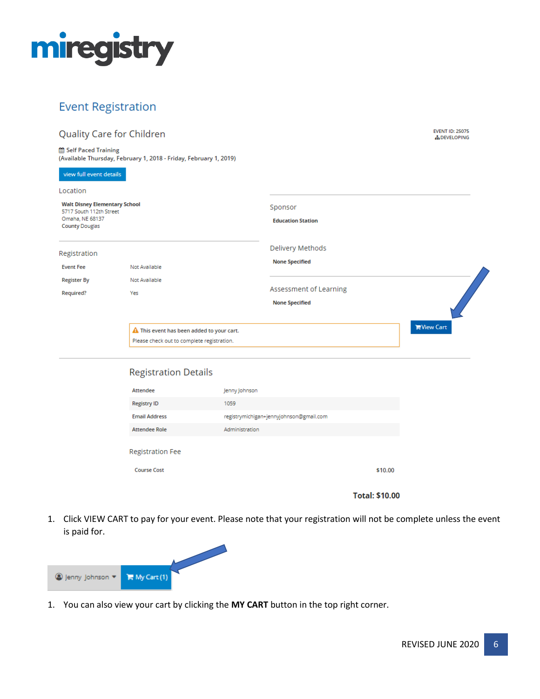

# **Event Registration**

### Quality Care for Children

Self Paced Training (Available Thursday, February 1, 2018 - Friday, February 1, 2019)

| <b>Walt Disney Elementary School</b><br>5717 South 112th Street<br>Omaha, NE 68137<br><b>County Douglas</b> |                                                     | Sponsor<br><b>Education Station</b> |                   |
|-------------------------------------------------------------------------------------------------------------|-----------------------------------------------------|-------------------------------------|-------------------|
| Registration                                                                                                |                                                     | Delivery Methods                    |                   |
| <b>Event Fee</b>                                                                                            | Not Available                                       | <b>None Specified</b>               |                   |
| <b>Register By</b>                                                                                          | Not Available                                       |                                     |                   |
| Required?                                                                                                   | Yes                                                 | Assessment of Learning              |                   |
|                                                                                                             |                                                     | <b>None Specified</b>               |                   |
|                                                                                                             | $\triangle$ This event has been added to your cart. |                                     | <b>NView Cart</b> |
|                                                                                                             | Please check out to complete registration.          |                                     |                   |

|                         |                                         | <b>Total: \$10.00</b> |
|-------------------------|-----------------------------------------|-----------------------|
| <b>Course Cost</b>      |                                         | \$10.00               |
| <b>Registration Fee</b> |                                         |                       |
| <b>Attendee Role</b>    | Administration                          |                       |
| <b>Email Address</b>    | registrymichigan+jennyjohnson@gmail.com |                       |
| <b>Registry ID</b>      | 1059                                    |                       |
| Attendee                | Jenny Johnson                           |                       |

1. Click VIEW CART to pay for your event. Please note that your registration will not be complete unless the event is paid for.



1. You can also view your cart by clicking the **MY CART** button in the top right corner.

**EVENT ID: 25075** 

**ADEVELOPING**